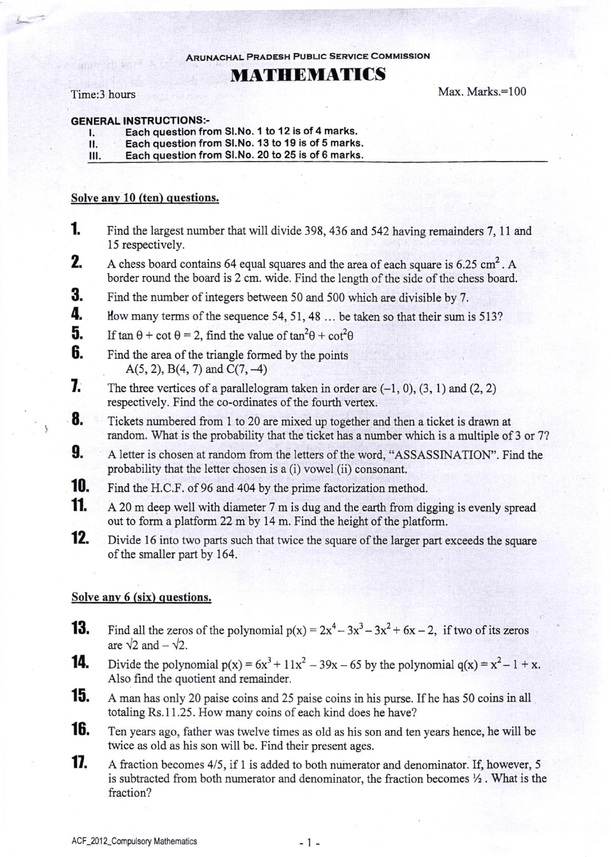ARUNACHAL PRAoEsH PuBLlc sERvlcE CoMMlssloN

# MATHDMATICS

### Time:3 hours

ţ

Max. Marks.=100

- GENERAL INSTRUCTIONS:-<br>
1. Each question from Sl.No. 1 to 12 is of 4 marks.<br>
II. Each question from Sl.No. 13 to 19 is of 5 marks
	- II. Each question from SI.No. 13 to 19 is of 5 marks.<br>III. Each question from SI.No. 20 to 25 is of 6 marks.
	- Each question from Sl.No. 20 to 25 is of 6 marks.

### Solve anv 10 (ten) questions.

- 1 Find the largest number that will divide 398, 436 and 542 having remainders 7, 11 and l5 respectively.
- A chess board contains 64 equal squares and the area of each square is  $6.25 \text{ cm}^2$ . A border round the board is 2 cm. wide. Find the length of the side of the chess board. 2.
- Find the number of integers between 50 and 500 which are divisible by 7. 3.
- How many terms of the sequence 54, 51, 48 ... be taken so that their sum is 513? 4.
- If tan  $\theta$  + cot  $\theta$  = 2, find the value of tan<sup>2</sup> $\theta$  + cot<sup>2</sup> $\theta$ 5.
- Find the area of the triangle formed by the points  $A(5, 2), B(4, 7)$  and  $C(7, -4)$ 6.
- The three vertices of a parallelogram taken in order are  $(-1, 0)$ ,  $(3, 1)$  and  $(2, 2)$ respectively. Find the co-ordinates of the fourth vertex. 1.
- Tickets numbered from I to 20 are mixed up together and then a ticket is drawn at random. What is the probability that the ticket has a number which is a multiple of 3 or 7? 8.
- A letter is chosen at random from the letters of the word, "ASSASSINATION". Find the probability that the letter chosen is a (i) vowel (ii) consonant. 9.
- 10. Find the H.C.F. of 96 and 404 by the prime factorization method.
- 11. A 20 m deep well with diameter 7 m is dug and the earth from digging is evenly spread out to form a platform 22 m by 14 m. Find the height of the platform.
- Divide 16 into two parts such that twice the square of the larger part exceeds the square of the smaller part by 164. 12.

## Solve any 6 (six) questions.

- **13.** Find all the zeros of the polynomial  $p(x) = 2x^4 3x^3 3x^2 + 6x 2$ , if two of its zeros are  $\sqrt{2}$  and  $-\sqrt{2}$ .
- **14.** Divide the polynomial  $p(x) = 6x^3 + 11x^2 39x 65$  by the polynomial  $q(x) = x^2 1 + x$ . Also find the quotient and remainder.
- **15.** A man has only 20 paise coins and 25 paise coins in his purse. If he has 50 coins in all totaling Rs.11.25. How many coins of each kind does he have?
- **16.** Ten years ago, father was twelve times as old as his son and ten years hence, he will be twice as old as his son wiil be. Find their present ages.
- **17.** A fraction becomes 4/5, if 1 is added to both numerator and denominator. If, however, 5 is subtracted from both numerator and denominator, the fraction becomes  $\frac{1}{2}$ . What is the fraction?